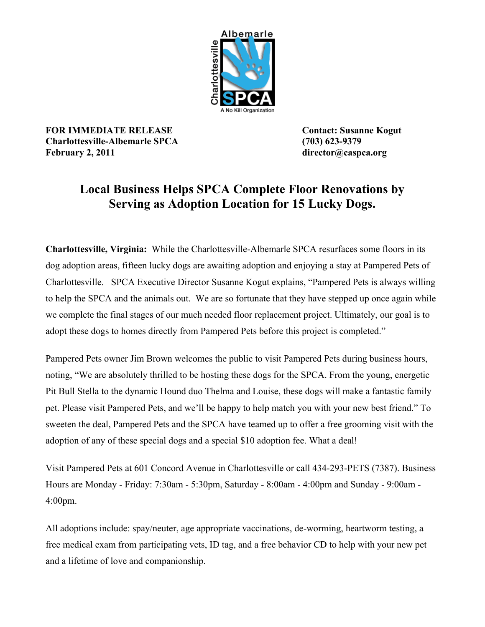

**FOR IMMEDIATE RELEASE Contact: Susanne Kogut Charlottesville-Albemarle SPCA (703) 623-9379 February 2, 2011 director@caspca.org**

## **Local Business Helps SPCA Complete Floor Renovations by Serving as Adoption Location for 15 Lucky Dogs.**

**Charlottesville, Virginia:** While the Charlottesville-Albemarle SPCA resurfaces some floors in its dog adoption areas, fifteen lucky dogs are awaiting adoption and enjoying a stay at Pampered Pets of Charlottesville. SPCA Executive Director Susanne Kogut explains, "Pampered Pets is always willing to help the SPCA and the animals out. We are so fortunate that they have stepped up once again while we complete the final stages of our much needed floor replacement project. Ultimately, our goal is to adopt these dogs to homes directly from Pampered Pets before this project is completed."

Pampered Pets owner Jim Brown welcomes the public to visit Pampered Pets during business hours, noting, "We are absolutely thrilled to be hosting these dogs for the SPCA. From the young, energetic Pit Bull Stella to the dynamic Hound duo Thelma and Louise, these dogs will make a fantastic family pet. Please visit Pampered Pets, and we'll be happy to help match you with your new best friend." To sweeten the deal, Pampered Pets and the SPCA have teamed up to offer a free grooming visit with the adoption of any of these special dogs and a special \$10 adoption fee. What a deal!

Visit Pampered Pets at 601 Concord Avenue in Charlottesville or call 434-293-PETS (7387). Business Hours are Monday - Friday: 7:30am - 5:30pm, Saturday - 8:00am - 4:00pm and Sunday - 9:00am - 4:00pm.

All adoptions include: spay/neuter, age appropriate vaccinations, de-worming, heartworm testing, a free medical exam from participating vets, ID tag, and a free behavior CD to help with your new pet and a lifetime of love and companionship.